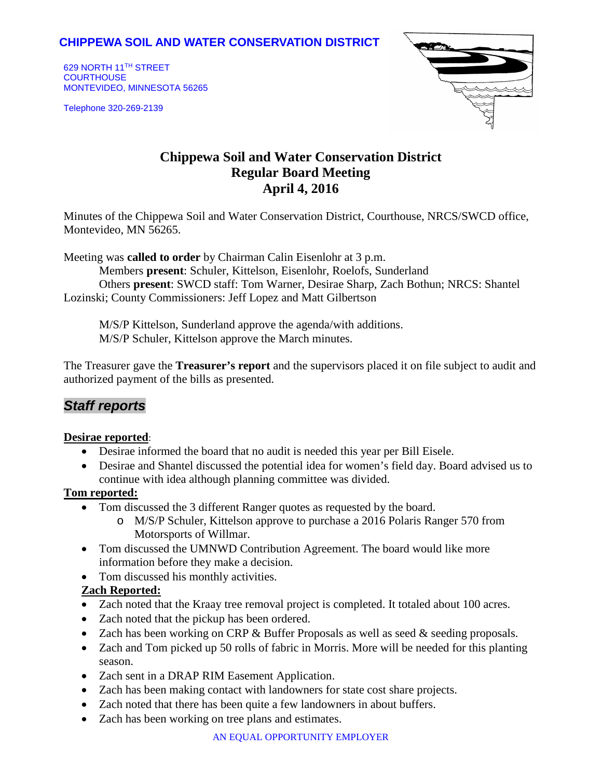## **CHIPPEWA SOIL AND WATER CONSERVATION DISTRICT**

629 NORTH 11TH STREET **COURTHOUSE** MONTEVIDEO, MINNESOTA 56265

Telephone 320-269-2139



# **Chippewa Soil and Water Conservation District Regular Board Meeting April 4, 2016**

Minutes of the Chippewa Soil and Water Conservation District, Courthouse, NRCS/SWCD office, Montevideo, MN 56265.

Meeting was **called to order** by Chairman Calin Eisenlohr at 3 p.m.

Members **present**: Schuler, Kittelson, Eisenlohr, Roelofs, Sunderland Others **present**: SWCD staff: Tom Warner, Desirae Sharp, Zach Bothun; NRCS: Shantel Lozinski; County Commissioners: Jeff Lopez and Matt Gilbertson

M/S/P Kittelson, Sunderland approve the agenda/with additions. M/S/P Schuler, Kittelson approve the March minutes.

The Treasurer gave the **Treasurer's report** and the supervisors placed it on file subject to audit and authorized payment of the bills as presented.

# *Staff reports*

#### **Desirae reported**:

- Desirae informed the board that no audit is needed this year per Bill Eisele.
- Desirae and Shantel discussed the potential idea for women's field day. Board advised us to continue with idea although planning committee was divided.

### **Tom reported:**

- Tom discussed the 3 different Ranger quotes as requested by the board.
	- o M/S/P Schuler, Kittelson approve to purchase a 2016 Polaris Ranger 570 from Motorsports of Willmar.
- Tom discussed the UMNWD Contribution Agreement. The board would like more information before they make a decision.
- Tom discussed his monthly activities.

### **Zach Reported:**

- Zach noted that the Kraay tree removal project is completed. It totaled about 100 acres.
- Zach noted that the pickup has been ordered.
- Zach has been working on CRP  $&$  Buffer Proposals as well as seed  $&$  seeding proposals.
- Zach and Tom picked up 50 rolls of fabric in Morris. More will be needed for this planting season.
- Zach sent in a DRAP RIM Easement Application.
- Zach has been making contact with landowners for state cost share projects.
- Zach noted that there has been quite a few landowners in about buffers.
- Zach has been working on tree plans and estimates.